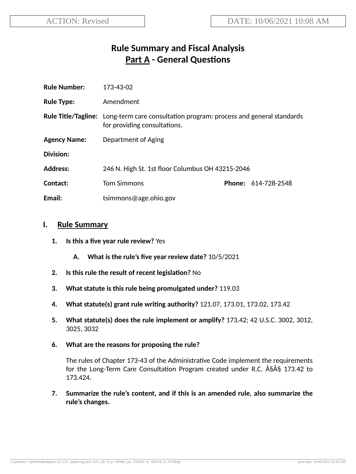# **Rule Summary and Fiscal Analysis Part A - General Questions**

| <b>Rule Number:</b> | 173-43-02                                                                                                                     |  |                            |
|---------------------|-------------------------------------------------------------------------------------------------------------------------------|--|----------------------------|
| <b>Rule Type:</b>   | Amendment                                                                                                                     |  |                            |
|                     | <b>Rule Title/Tagline:</b> Long-term care consultation program: process and general standards<br>for providing consultations. |  |                            |
| <b>Agency Name:</b> | Department of Aging                                                                                                           |  |                            |
| Division:           |                                                                                                                               |  |                            |
| <b>Address:</b>     | 246 N. High St. 1st floor Columbus OH 43215-2046                                                                              |  |                            |
| Contact:            | <b>Tom Simmons</b>                                                                                                            |  | <b>Phone: 614-728-2548</b> |
| Email:              | tsimmons@age.ohio.gov                                                                                                         |  |                            |

#### **I. Rule Summary**

- **1. Is this a five year rule review?** Yes
	- **A. What is the rule's five year review date?** 10/5/2021
- **2.** Is this rule the result of recent legislation? No
- **3. What statute is this rule being promulgated under?** 119.03
- **4. What statute(s) grant rule wring authority?** 121.07, 173.01, 173.02, 173.42
- **5. What statute(s) does the rule implement or amplify?** 173.42; 42 U.S.C. 3002, 3012, 3025, 3032
- **6. What are the reasons for proposing the rule?**

The rules of Chapter 173-43 of the Administrative Code implement the requirements for the Long-Term Care Consultation Program created under R.C.  $\hat{A}\hat{S}\hat{A}\hat{S}$  173.42 to 173.424.

**7. Summarize the rule's content, and if this is an amended rule, also summarize the rule's changes.**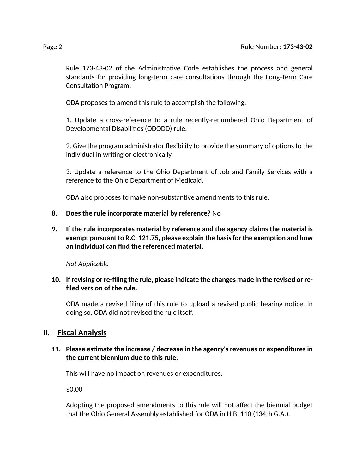Rule 173-43-02 of the Administrative Code establishes the process and general standards for providing long-term care consultations through the Long-Term Care Consultation Program.

ODA proposes to amend this rule to accomplish the following:

1. Update a cross-reference to a rule recently-renumbered Ohio Department of Developmental Disabilities (ODODD) rule.

2. Give the program administrator flexibility to provide the summary of options to the individual in writing or electronically.

3. Update a reference to the Ohio Department of Job and Family Services with a reference to the Ohio Department of Medicaid.

ODA also proposes to make non-substantive amendments to this rule.

#### **8. Does the rule incorporate material by reference?** No

#### **9. If the rule incorporates material by reference and the agency claims the material is exempt pursuant to R.C. 121.75, please explain the basisfor the exempon and how an individual can find the referenced material.**

*Not Applicable*

#### **10. If revising or re-filing the rule, please indicate the changes made in the revised or refiled version of the rule.**

ODA made a revised filing of this rule to upload a revised public hearing notice. In doing so, ODA did not revised the rule itself.

#### **II. Fiscal Analysis**

#### **11. Please esmate the increase / decrease in the agency's revenues or expenditures in the current biennium due to this rule.**

This will have no impact on revenues or expenditures.

\$0.00

Adopting the proposed amendments to this rule will not affect the biennial budget that the Ohio General Assembly established for ODA in H.B. 110 (134th G.A.).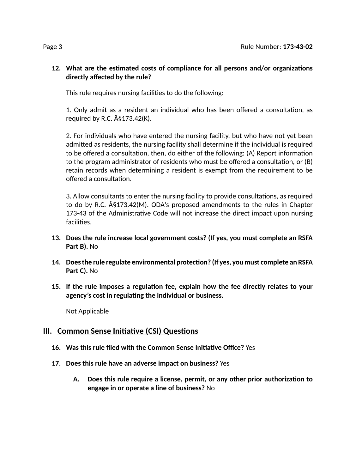#### 12. What are the estimated costs of compliance for all persons and/or organizations **directly affected by the rule?**

This rule requires nursing facilities to do the following:

1. Only admit as a resident an individual who has been offered a consultation, as required by R.C.  $\hat{A}\$ §173.42 $(K)$ .

2. For individuals who have entered the nursing facility, but who have not yet been admitted as residents, the nursing facility shall determine if the individual is required to be offered a consultation, then, do either of the following: (A) Report information to the program administrator of residents who must be offered a consultation, or  $(B)$ retain records when determining a resident is exempt from the requirement to be offered a consultation.

3. Allow consultants to enter the nursing facility to provide consultations, as required to do by R.C.  $\hat{A}$ §173.42(M). ODA's proposed amendments to the rules in Chapter 173-43 of the Administrative Code will not increase the direct impact upon nursing facilities.

- **13. Does the rule increase local government costs? (If yes, you must complete an RSFA Part B).** No
- **14. Doesthe rule regulate environmental protecon? (If yes, you must complete an RSFA Part C).** No
- **15. If the rule imposes a regulaon fee, explain how the fee directly relates to your agency's cost in regulang the individual or business.**

Not Applicable

### **III.** Common Sense Initiative (CSI) Questions

- **16. Was this rule filed with the Common Sense Iniave Office?** Yes
- **17. Does this rule have an adverse impact on business?** Yes
	- **A. Does this rule require a license, permit, or any other prior authorizaon to engage in or operate a line of business?** No